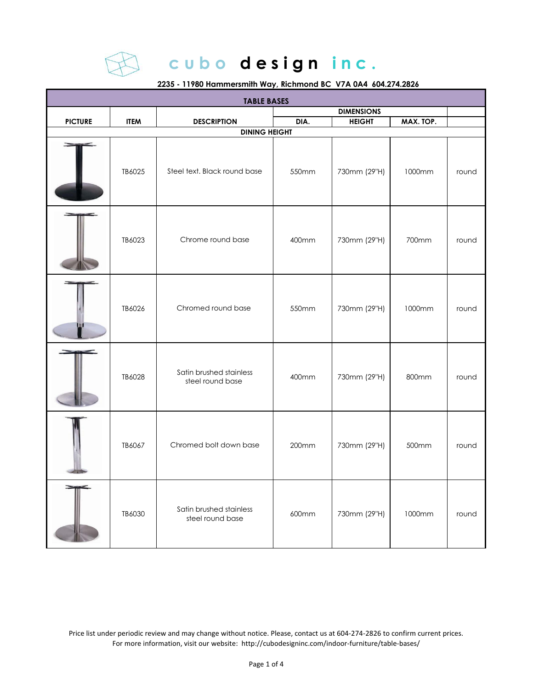

#### **2235 - 11980 Hammersmith Way, Richmond BC V7A 0A4 604.274.2826**

| <b>TABLE BASES</b> |             |                                             |       |                   |           |       |  |
|--------------------|-------------|---------------------------------------------|-------|-------------------|-----------|-------|--|
|                    |             |                                             |       | <b>DIMENSIONS</b> |           |       |  |
| <b>PICTURE</b>     | <b>ITEM</b> | <b>DESCRIPTION</b>                          | DIA.  | <b>HEIGHT</b>     | MAX. TOP. |       |  |
|                    |             | <b>DINING HEIGHT</b>                        |       |                   |           |       |  |
|                    | TB6025      | Steel text. Black round base                | 550mm | 730mm (29"H)      | 1000mm    | round |  |
|                    | TB6023      | Chrome round base                           | 400mm | 730mm (29"H)      | 700mm     | round |  |
|                    | TB6026      | Chromed round base                          | 550mm | 730mm (29"H)      | 1000mm    | round |  |
|                    | TB6028      | Satin brushed stainless<br>steel round base | 400mm | 730mm (29"H)      | 800mm     | round |  |
|                    | TB6067      | Chromed bolt down base                      | 200mm | 730mm (29"H)      | 500mm     | round |  |
|                    | TB6030      | Satin brushed stainless<br>steel round base | 600mm | 730mm (29"H)      | 1000mm    | round |  |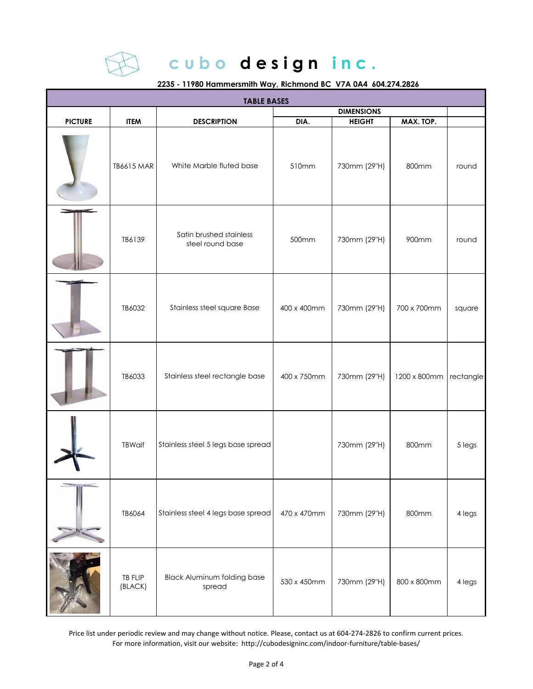

**2235 - 11980 Hammersmith Way, Richmond BC V7A 0A4 604.274.2826**

| <b>TABLE BASES</b> |                           |                                              |             |                   |                        |        |  |
|--------------------|---------------------------|----------------------------------------------|-------------|-------------------|------------------------|--------|--|
|                    |                           |                                              |             | <b>DIMENSIONS</b> |                        |        |  |
| <b>PICTURE</b>     | <b>ITEM</b>               | <b>DESCRIPTION</b>                           | DIA.        | <b>HEIGHT</b>     | MAX. TOP.              |        |  |
|                    | <b>TB6615 MAR</b>         | White Marble fluted base                     | 510mm       | 730mm (29"H)      | 800mm                  | round  |  |
|                    | TB6139                    | Satin brushed stainless<br>steel round base  | 500mm       | 730mm (29"H)      | 900mm                  | round  |  |
|                    | TB6032                    | Stainless steel square Base                  | 400 x 400mm | 730mm (29"H)      | 700 x 700mm            | square |  |
|                    | TB6033                    | Stainless steel rectangle base               | 400 x 750mm | 730mm (29"H)      | 1200 x 800mm rectangle |        |  |
|                    | <b>TBWalf</b>             | Stainless steel 5 legs base spread           |             | 730mm (29"H)      | 800mm                  | 5 legs |  |
|                    | TB6064                    | Stainless steel 4 legs base spread           | 470 x 470mm | 730mm (29"H)      | 800mm                  | 4 legs |  |
|                    | <b>TB FLIP</b><br>(BLACK) | <b>Black Aluminum folding base</b><br>spread | 530 x 450mm | 730mm (29"H)      | 800 x 800mm            | 4 legs |  |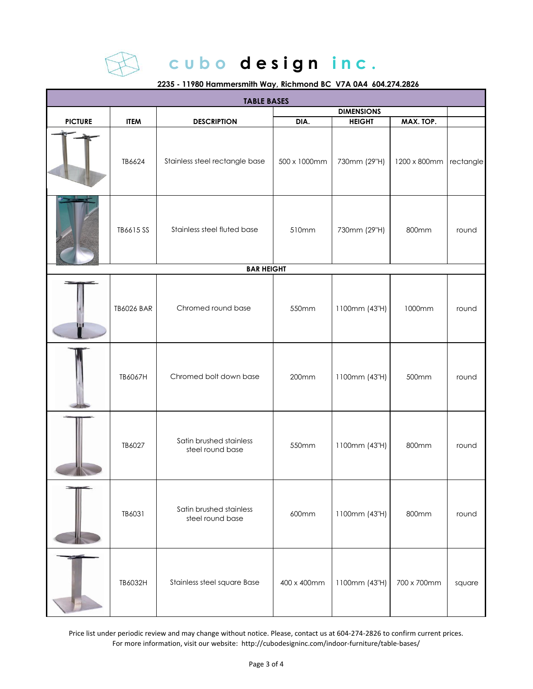

**2235 - 11980 Hammersmith Way, Richmond BC V7A 0A4 604.274.2826**

| <b>TABLE BASES</b> |                   |                                             |              |                   |                        |        |  |
|--------------------|-------------------|---------------------------------------------|--------------|-------------------|------------------------|--------|--|
|                    |                   |                                             |              | <b>DIMENSIONS</b> |                        |        |  |
| <b>PICTURE</b>     | <b>ITEM</b>       | <b>DESCRIPTION</b>                          | DIA.         | <b>HEIGHT</b>     | MAX. TOP.              |        |  |
|                    | TB6624            | Stainless steel rectangle base              | 500 x 1000mm | 730mm (29"H)      | 1200 x 800mm rectangle |        |  |
|                    | TB6615 SS         | Stainless steel fluted base                 | 510mm        | 730mm (29"H)      | 800mm                  | round  |  |
|                    |                   | <b>BAR HEIGHT</b>                           |              |                   |                        |        |  |
|                    | <b>TB6026 BAR</b> | Chromed round base                          | 550mm        | 1100mm (43"H)     | 1000mm                 | round  |  |
|                    | TB6067H           | Chromed bolt down base                      | 200mm        | 1100mm (43"H)     | 500mm                  | round  |  |
|                    | TB6027            | Satin brushed stainless<br>steel round base | 550mm        | 1100mm (43"H)     | 800mm                  | round  |  |
|                    | TB6031            | Satin brushed stainless<br>steel round base | 600mm        | 1100mm (43"H)     | 800mm                  | round  |  |
|                    | TB6032H           | Stainless steel square Base                 | 400 x 400mm  | 1100mm (43"H)     | 700 x 700mm            | square |  |